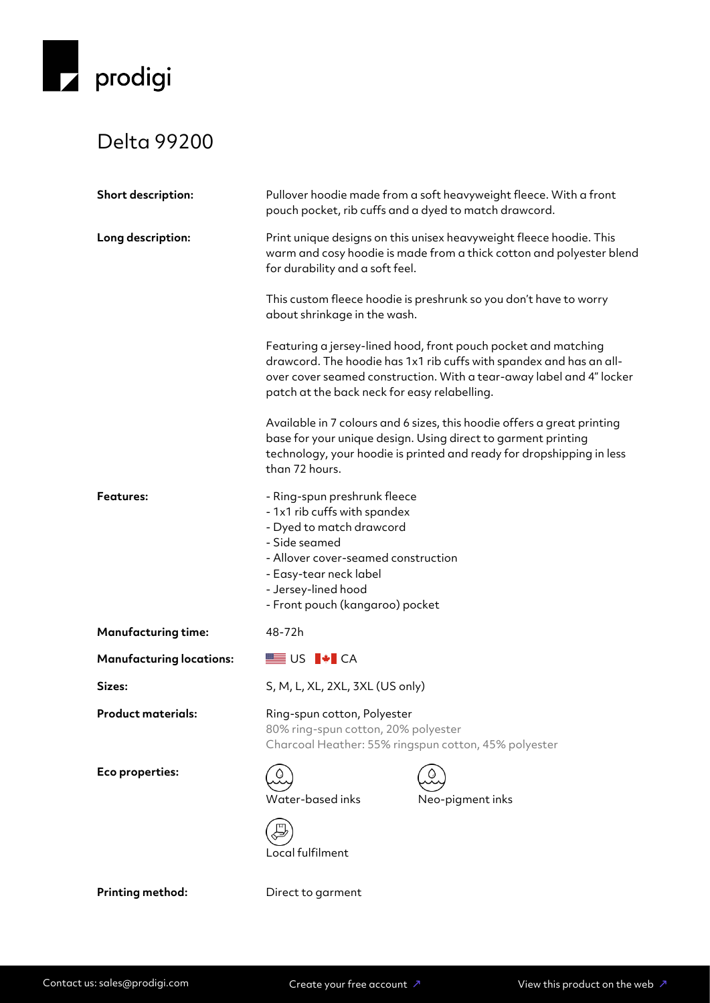

## Delta 99200

| <b>Short description:</b>       | Pullover hoodie made from a soft heavyweight fleece. With a front<br>pouch pocket, rib cuffs and a dyed to match drawcord.                                                                                                                                    |  |  |
|---------------------------------|---------------------------------------------------------------------------------------------------------------------------------------------------------------------------------------------------------------------------------------------------------------|--|--|
| Long description:               | Print unique designs on this unisex heavyweight fleece hoodie. This<br>warm and cosy hoodie is made from a thick cotton and polyester blend<br>for durability and a soft feel.                                                                                |  |  |
|                                 | This custom fleece hoodie is preshrunk so you don't have to worry<br>about shrinkage in the wash.                                                                                                                                                             |  |  |
|                                 | Featuring a jersey-lined hood, front pouch pocket and matching<br>drawcord. The hoodie has 1x1 rib cuffs with spandex and has an all-<br>over cover seamed construction. With a tear-away label and 4" locker<br>patch at the back neck for easy relabelling. |  |  |
|                                 | Available in 7 colours and 6 sizes, this hoodie offers a great printing<br>base for your unique design. Using direct to garment printing<br>technology, your hoodie is printed and ready for dropshipping in less<br>than 72 hours.                           |  |  |
| <b>Features:</b>                | - Ring-spun preshrunk fleece<br>- 1x1 rib cuffs with spandex<br>- Dyed to match drawcord<br>- Side seamed<br>- Allover cover-seamed construction<br>- Easy-tear neck label<br>- Jersey-lined hood<br>- Front pouch (kangaroo) pocket                          |  |  |
| <b>Manufacturing time:</b>      | 48-72h                                                                                                                                                                                                                                                        |  |  |
| <b>Manufacturing locations:</b> | <b>SEE US P+</b> CA                                                                                                                                                                                                                                           |  |  |
| Sizes:                          | S, M, L, XL, 2XL, 3XL (US only)                                                                                                                                                                                                                               |  |  |
| <b>Product materials:</b>       | Ring-spun cotton, Polyester<br>80% ring-spun cotton, 20% polyester<br>Charcoal Heather: 55% ringspun cotton, 45% polyester                                                                                                                                    |  |  |
| Eco properties:                 | Water-based inks<br>Neo-pigment inks<br>Local fulfilment                                                                                                                                                                                                      |  |  |
| Printing method:                | Direct to garment                                                                                                                                                                                                                                             |  |  |